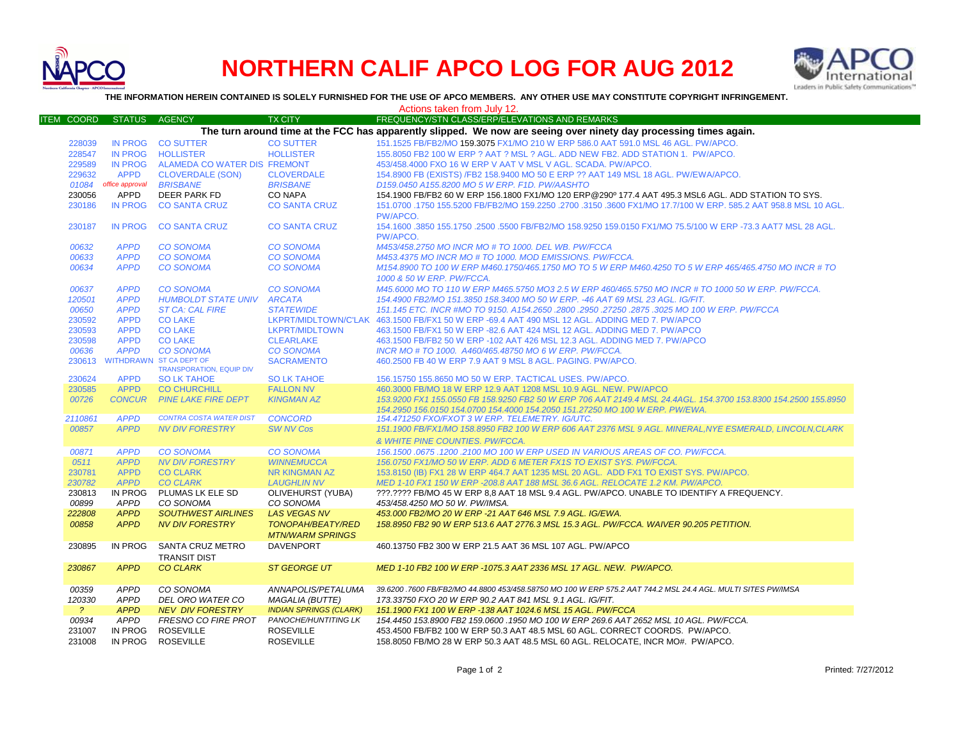

## **NORTHERN CALIF APCO LOG FOR AUG 2012**



**THE INFORMATION HEREIN CONTAINED IS SOLELY FURNISHED FOR THE USE OF APCO MEMBERS. ANY OTHER USE MAY CONSTITUTE COPYRIGHT INFRINGEMENT.**

|                                                                                                                   |                        |                                                                   |                                | Actions taken from July 12.                                                                                                                                                                    |  |  |  |
|-------------------------------------------------------------------------------------------------------------------|------------------------|-------------------------------------------------------------------|--------------------------------|------------------------------------------------------------------------------------------------------------------------------------------------------------------------------------------------|--|--|--|
| <b>ITEM COORD</b>                                                                                                 | <b>STATUS</b>          | AGENCY                                                            | <b>TX CITY</b>                 | FREQUENCY/STN CLASS/ERP/ELEVATIONS AND REMARKS                                                                                                                                                 |  |  |  |
| The turn around time at the FCC has apparently slipped. We now are seeing over ninety day processing times again. |                        |                                                                   |                                |                                                                                                                                                                                                |  |  |  |
| 228039                                                                                                            |                        | IN PROG CO SUTTER                                                 | <b>CO SUTTER</b>               | 151.1525 FB/FB2/MO 159.3075 FX1/MO 210 W ERP 586.0 AAT 591.0 MSL 46 AGL. PW/APCO.                                                                                                              |  |  |  |
| 228547                                                                                                            |                        | IN PROG HOLLISTER                                                 | <b>HOLLISTER</b>               | 155,8050 FB2 100 W ERP ? AAT ? MSL ? AGL. ADD NEW FB2, ADD STATION 1. PW/APCO.                                                                                                                 |  |  |  |
| 229589                                                                                                            |                        | IN PROG ALAMEDA CO WATER DIS FREMONT                              |                                | 453/458.4000 FXO 16 W ERP V AAT V MSL V AGL. SCADA. PW/APCO.                                                                                                                                   |  |  |  |
| 229632                                                                                                            | <b>APPD</b>            | <b>CLOVERDALE (SON)</b>                                           | <b>CLOVERDALE</b>              | 154.8900 FB (EXISTS) /FB2 158.9400 MO 50 E ERP ?? AAT 149 MSL 18 AGL. PW/EWA/APCO.                                                                                                             |  |  |  |
| 01084                                                                                                             | office approval        | <b>BRISBANE</b>                                                   | <b>BRISBANE</b>                | D159.0450 A155.8200 MO 5 W ERP. F1D. PW/AASHTO                                                                                                                                                 |  |  |  |
| 230056                                                                                                            | APPD                   | DEER PARK FD                                                      | <b>CO NAPA</b>                 | 154.1900 FB/FB2 60 W ERP 156.1800 FX1/MO 120 ERP@290° 177.4 AAT 495.3 MSL6 AGL. ADD STATION TO SYS.                                                                                            |  |  |  |
| 230186                                                                                                            | <b>IN PROG</b>         | <b>CO SANTA CRUZ</b>                                              | <b>CO SANTA CRUZ</b>           | 151.0700 .1750 155.5200 FB/FB2/MO 159.2250 .2700 .3150 .3600 FX1/MO 17.7/100 W ERP. 585.2 AAT 958.8 MSL 10 AGL<br>PW/APCO.                                                                     |  |  |  |
| 230187                                                                                                            | <b>IN PROG</b>         | <b>CO SANTA CRUZ</b>                                              | <b>CO SANTA CRUZ</b>           | 154.1600 .3850 155.1750 .2500 .5500 FB/FB2/MO 158.9250 159.0150 FX1/MO 75.5/100 W ERP -73.3 AAT7 MSL 28 AGL.<br>PW/APCO.                                                                       |  |  |  |
| 00632                                                                                                             | <b>APPD</b>            | <b>CO SONOMA</b>                                                  | <b>CO SONOMA</b>               | M453/458.2750 MO INCR MO # TO 1000. DEL WB. PW/FCCA                                                                                                                                            |  |  |  |
| 00633                                                                                                             | <b>APPD</b>            | <b>CO SONOMA</b>                                                  | <b>CO SONOMA</b>               | M453.4375 MO INCR MO # TO 1000. MOD EMISSIONS. PW/FCCA.                                                                                                                                        |  |  |  |
| 00634                                                                                                             | <b>APPD</b>            | <b>CO SONOMA</b>                                                  | <b>CO SONOMA</b>               | M154.8900 TO 100 W ERP M460.1750/465.1750 MO TO 5 W ERP M460.4250 TO 5 W ERP 465/465.4750 MO INCR # TO<br>1000 & 50 W ERP. PW/FCCA.                                                            |  |  |  |
| 00637                                                                                                             | <b>APPD</b>            | <b>CO SONOMA</b>                                                  | <b>CO SONOMA</b>               | M45.6000 MO TO 110 W ERP M465.5750 MO3 2.5 W ERP 460/465.5750 MO INCR # TO 1000 50 W ERP. PW/FCCA.                                                                                             |  |  |  |
| 120501                                                                                                            | <b>APPD</b>            | <b>HUMBOLDT STATE UNIV ARCATA</b>                                 |                                | 154.4900 FB2/MO 151.3850 158.3400 MO 50 W ERP. -46 AAT 69 MSL 23 AGL. IG/FIT.                                                                                                                  |  |  |  |
| 00650                                                                                                             | <b>APPD</b>            | <b>ST CA: CAL FIRE</b>                                            | <b>STATEWIDE</b>               | 151.145 ETC. INCR #MO TO 9150. A154.2650 .2800 .2950 .27250 .2875 .3025 MO 100 W ERP. PW/FCCA                                                                                                  |  |  |  |
| 230592                                                                                                            | <b>APPD</b>            | <b>CO LAKE</b>                                                    |                                | LKPRT/MIDLTOWN/C'LAK 463.1500 FB/FX1 50 W ERP -69.4 AAT 490 MSL 12 AGL. ADDING MED 7. PW/APCO                                                                                                  |  |  |  |
| 230593                                                                                                            | <b>APPD</b>            | <b>CO LAKE</b>                                                    | <b>LKPRT/MIDLTOWN</b>          | 463.1500 FB/FX1 50 W ERP -82.6 AAT 424 MSL 12 AGL. ADDING MED 7. PW/APCO                                                                                                                       |  |  |  |
| 230598                                                                                                            | <b>APPD</b>            | <b>CO LAKE</b>                                                    | <b>CLEARLAKE</b>               | 463.1500 FB/FB2 50 W ERP -102 AAT 426 MSL 12.3 AGL. ADDING MED 7. PW/APCO                                                                                                                      |  |  |  |
| 00636                                                                                                             | <b>APPD</b>            | <b>CO SONOMA</b>                                                  | <b>CO SONOMA</b>               | INCR MO # TO 1000. A460/465.48750 MO 6 W ERP. PW/FCCA.                                                                                                                                         |  |  |  |
| 230613                                                                                                            |                        | <b>WITHDRAWN ST CA DEPT OF</b><br><b>TRANSPORATION, EQUIP DIV</b> | <b>SACRAMENTO</b>              | 460.2500 FB 40 W ERP 7.9 AAT 9 MSL 8 AGL, PAGING, PW/APCO,                                                                                                                                     |  |  |  |
| 230624                                                                                                            | <b>APPD</b>            | <b>SO LK TAHOE</b>                                                | <b>SO LK TAHOE</b>             | 156.15750 155.8650 MO 50 W ERP. TACTICAL USES. PW/APCO.                                                                                                                                        |  |  |  |
| 230585                                                                                                            | <b>APPD</b>            | <b>CO CHURCHILL</b>                                               | <b>FALLON NV</b>               | 460.3000 FB/MO 18 W ERP 12.9 AAT 1208 MSL 10.9 AGL. NEW. PW/APCO                                                                                                                               |  |  |  |
| 00726                                                                                                             | <b>CONCUR</b>          | <b>PINE LAKE FIRE DEPT</b>                                        | <b>KINGMAN AZ</b>              | 153.9200 FX1 155.0550 FB 158.9250 FB2 50 W ERP 706 AAT 2149.4 MSL 24.4AGL, 154.3700 153.8300 154.2500 155.8950<br>154.2950 156.0150 154.0700 154.4000 154.2050 151.27250 MO 100 W ERP. PW/EWA. |  |  |  |
| 2110861                                                                                                           | <b>APPD</b>            | <b>CONTRA COSTA WATER DIST</b>                                    | <b>CONCORD</b>                 | 154.471250 FXO/FXOT 3 W ERP. TELEMETRY. IG/UTC.                                                                                                                                                |  |  |  |
| 00857                                                                                                             | <b>APPD</b>            | <b>NV DIV FORESTRY</b>                                            | <b>SW NV Cos</b>               | 151.1900 FB/FX1/MO 158.8950 FB2 100 W ERP 606 AAT 2376 MSL 9 AGL. MINERAL, NYE ESMERALD, LINCOLN, CLARK<br>& WHITE PINE COUNTIES. PW/FCCA.                                                     |  |  |  |
| 00871                                                                                                             | <b>APPD</b>            | <b>CO SONOMA</b>                                                  | <b>CO SONOMA</b>               | 156.1500.0675.1200.2100 MO 100 W ERP USED IN VARIOUS AREAS OF CO. PW/FCCA.                                                                                                                     |  |  |  |
| 0511                                                                                                              | <b>APPD</b>            | <b>NV DIV FORESTRY</b>                                            | <b>WINNEMUCCA</b>              | 156.0750 FX1/MO 50 W ERP. ADD 6 METER FX1S TO EXIST SYS. PW/FCCA.                                                                                                                              |  |  |  |
| 230781                                                                                                            | <b>APPD</b>            | <b>CO CLARK</b>                                                   | <b>NR KINGMAN AZ</b>           | 153.8150 (IB) FX1 28 W ERP 464.7 AAT 1235 MSL 20 AGL. ADD FX1 TO EXIST SYS. PW/APCO.                                                                                                           |  |  |  |
| 230782                                                                                                            | <b>APPD</b>            | <b>CO CLARK</b>                                                   | <b>LAUGHLIN NV</b>             | MED 1-10 FX1 150 W ERP -208.8 AAT 188 MSL 36.6 AGL. RELOCATE 1.2 KM. PW/APCO.                                                                                                                  |  |  |  |
| 230813<br>00899                                                                                                   | IN PROG<br><b>APPD</b> | PLUMAS LK ELE SD<br>CO SONOMA                                     | OLIVEHURST (YUBA)<br>CO SONOMA | ???.???? FB/MO 45 W ERP 8.8 AAT 18 MSL 9.4 AGL. PW/APCO. UNABLE TO IDENTIFY A FREQUENCY.<br>453/458.4250 MO 50 W. PW/IMSA.                                                                     |  |  |  |
| 222808                                                                                                            | <b>APPD</b>            | <b>SOUTHWEST AIRLINES</b>                                         | <b>LAS VEGAS NV</b>            | 453.000 FB2/MO 20 W ERP -21 AAT 646 MSL 7.9 AGL. IG/EWA.                                                                                                                                       |  |  |  |
| 00858                                                                                                             | <b>APPD</b>            | <b>NV DIV FORESTRY</b>                                            | TONOPAH/BEATY/RED              | 158.8950 FB2 90 W ERP 513.6 AAT 2776.3 MSL 15.3 AGL. PW/FCCA. WAIVER 90.205 PETITION.                                                                                                          |  |  |  |
|                                                                                                                   |                        |                                                                   | <b>MTN/WARM SPRINGS</b>        |                                                                                                                                                                                                |  |  |  |
| 230895                                                                                                            | IN PROG                | SANTA CRUZ METRO                                                  | <b>DAVENPORT</b>               | 460.13750 FB2 300 W ERP 21.5 AAT 36 MSL 107 AGL. PW/APCO                                                                                                                                       |  |  |  |
|                                                                                                                   |                        | <b>TRANSIT DIST</b>                                               |                                |                                                                                                                                                                                                |  |  |  |
| 230867                                                                                                            | <b>APPD</b>            | <b>CO CLARK</b>                                                   | <b>ST GEORGE UT</b>            | MED 1-10 FB2 100 W ERP -1075.3 AAT 2336 MSL 17 AGL. NEW. PW/APCO.                                                                                                                              |  |  |  |
| 00359                                                                                                             | <b>APPD</b>            | CO SONOMA                                                         | ANNAPOLIS/PETALUMA             | 39.6200 .7600 FB/FB2/MO 44.8800 453/458.58750 MO 100 W ERP 575.2 AAT 744.2 MSL 24.4 AGL. MULTI SITES PW/IMSA                                                                                   |  |  |  |
| 120330                                                                                                            | <b>APPD</b>            | DEL ORO WATER CO                                                  | <b>MAGALIA (BUTTE)</b>         | 173.33750 FXO 20 W ERP 90.2 AAT 841 MSL 9.1 AGL. IG/FIT.                                                                                                                                       |  |  |  |
| $\overline{?}$                                                                                                    | <b>APPD</b>            | <b>NEV DIV FORESTRY</b>                                           | <b>INDIAN SPRINGS (CLARK)</b>  | 151.1900 FX1 100 W ERP -138 AAT 1024.6 MSL 15 AGL. PW/FCCA                                                                                                                                     |  |  |  |
| 00934                                                                                                             | <b>APPD</b>            | <b>FRESNO CO FIRE PROT</b>                                        | PANOCHE/HUNTITING LK           | 154.4450 153.8900 FB2 159.0600 .1950 MO 100 W ERP 269.6 AAT 2652 MSL 10 AGL. PW/FCCA.                                                                                                          |  |  |  |
| 231007                                                                                                            | IN PROG                | <b>ROSEVILLE</b>                                                  | <b>ROSEVILLE</b>               | 453.4500 FB/FB2 100 W ERP 50.3 AAT 48.5 MSL 60 AGL. CORRECT COORDS. PW/APCO.                                                                                                                   |  |  |  |
| 231008                                                                                                            | IN PROG                | <b>ROSEVILLE</b>                                                  | <b>ROSEVILLE</b>               | 158,8050 FB/MO 28 W ERP 50.3 AAT 48.5 MSL 60 AGL, RELOCATE, INCR MO#, PW/APCO,                                                                                                                 |  |  |  |